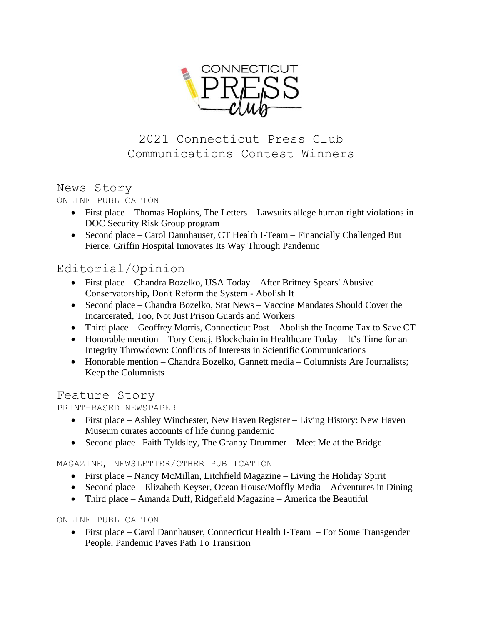

# 2021 Connecticut Press Club Communications Contest Winners

## News Story

ONLINE PUBLICATION

- First place Thomas Hopkins, The Letters Lawsuits allege human right violations in DOC Security Risk Group program
- Second place Carol Dannhauser, CT Health I-Team Financially Challenged But Fierce, Griffin Hospital Innovates Its Way Through Pandemic

# Editorial/Opinion

- First place Chandra Bozelko, USA Today After Britney Spears' Abusive Conservatorship, Don't Reform the System - Abolish It
- Second place Chandra Bozelko, Stat News Vaccine Mandates Should Cover the Incarcerated, Too, Not Just Prison Guards and Workers
- Third place Geoffrey Morris, Connecticut Post Abolish the Income Tax to Save CT
- Honorable mention Tory Cenaj, Blockchain in Healthcare Today It's Time for an Integrity Throwdown: Conflicts of Interests in Scientific Communications
- Honorable mention Chandra Bozelko, Gannett media Columnists Are Journalists; Keep the Columnists

## Feature Story

## PRINT-BASED NEWSPAPER

- First place Ashley Winchester, New Haven Register Living History: New Haven Museum curates accounts of life during pandemic
- Second place –Faith Tyldsley, The Granby Drummer Meet Me at the Bridge

## MAGAZINE, NEWSLETTER/OTHER PUBLICATION

- First place Nancy McMillan, Litchfield Magazine Living the Holiday Spirit
- Second place Elizabeth Keyser, Ocean House/Moffly Media Adventures in Dining
- Third place Amanda Duff, Ridgefield Magazine America the Beautiful

## ONLINE PUBLICATION

• First place – Carol Dannhauser, Connecticut Health I-Team – For Some Transgender People, Pandemic Paves Path To Transition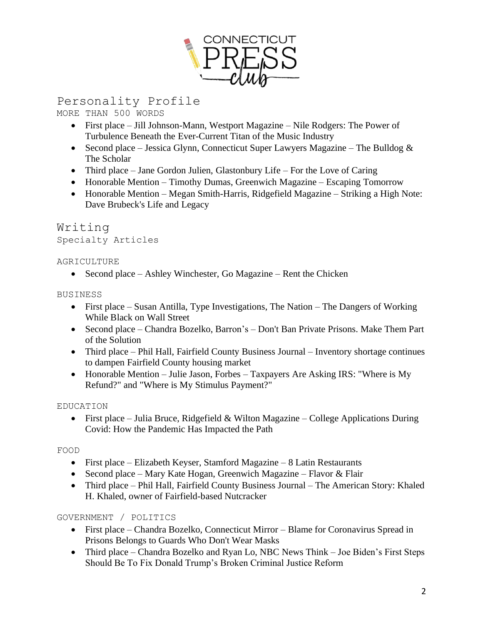

## Personality Profile

MORE THAN 500 WORDS

- First place Jill Johnson-Mann, Westport Magazine Nile Rodgers: The Power of Turbulence Beneath the Ever-Current Titan of the Music Industry
- Second place Jessica Glynn, Connecticut Super Lawyers Magazine The Bulldog  $\&$ The Scholar
- Third place Jane Gordon Julien, Glastonbury Life For the Love of Caring
- Honorable Mention Timothy Dumas, Greenwich Magazine Escaping Tomorrow
- Honorable Mention Megan Smith-Harris, Ridgefield Magazine Striking a High Note: Dave Brubeck's Life and Legacy

## Writing Specialty Articles

## AGRICULTURE

• Second place – Ashley Winchester, Go Magazine – Rent the Chicken

## BUSINESS

- First place Susan Antilla, Type Investigations, The Nation The Dangers of Working While Black on Wall Street
- Second place Chandra Bozelko, Barron's Don't Ban Private Prisons. Make Them Part of the Solution
- Third place Phil Hall, Fairfield County Business Journal Inventory shortage continues to dampen Fairfield County housing market
- Honorable Mention Julie Jason, Forbes Taxpayers Are Asking IRS: "Where is My Refund?" and "Where is My Stimulus Payment?"

## EDUCATION

• First place – Julia Bruce, Ridgefield & Wilton Magazine – College Applications During Covid: How the Pandemic Has Impacted the Path

## FOOD

- First place Elizabeth Keyser, Stamford Magazine 8 Latin Restaurants
- Second place Mary Kate Hogan, Greenwich Magazine Flavor & Flair
- Third place Phil Hall, Fairfield County Business Journal The American Story: Khaled H. Khaled, owner of Fairfield-based Nutcracker

## GOVERNMENT / POLITICS

- First place Chandra Bozelko, Connecticut Mirror Blame for Coronavirus Spread in Prisons Belongs to Guards Who Don't Wear Masks
- Third place Chandra Bozelko and Ryan Lo, NBC News Think Joe Biden's First Steps Should Be To Fix Donald Trump's Broken Criminal Justice Reform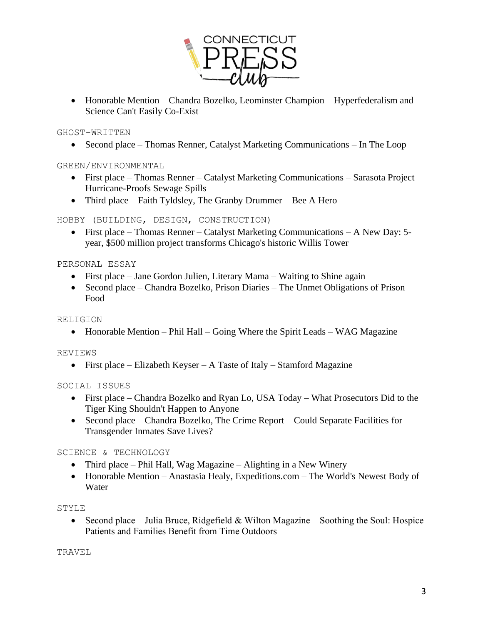

• Honorable Mention – Chandra Bozelko, Leominster Champion – Hyperfederalism and Science Can't Easily Co-Exist

#### GHOST-WRITTEN

• Second place – Thomas Renner, Catalyst Marketing Communications – In The Loop

## GREEN/ENVIRONMENTAL

- First place Thomas Renner Catalyst Marketing Communications Sarasota Project Hurricane-Proofs Sewage Spills
- Third place Faith Tyldsley, The Granby Drummer Bee A Hero

## HOBBY (BUILDING, DESIGN, CONSTRUCTION)

• First place – Thomas Renner – Catalyst Marketing Communications – A New Day: 5year, \$500 million project transforms Chicago's historic Willis Tower

#### PERSONAL ESSAY

- First place Jane Gordon Julien, Literary Mama Waiting to Shine again
- Second place Chandra Bozelko, Prison Diaries The Unmet Obligations of Prison Food

#### RELIGION

• Honorable Mention – Phil Hall – Going Where the Spirit Leads – WAG Magazine

#### REVIEWS

• First place – Elizabeth Keyser – A Taste of Italy – Stamford Magazine

## SOCIAL ISSUES

- First place Chandra Bozelko and Ryan Lo, USA Today What Prosecutors Did to the Tiger King Shouldn't Happen to Anyone
- Second place Chandra Bozelko, The Crime Report Could Separate Facilities for Transgender Inmates Save Lives?

## SCIENCE & TECHNOLOGY

- Third place Phil Hall, Wag Magazine Alighting in a New Winery
- Honorable Mention Anastasia Healy, Expeditions.com The World's Newest Body of Water

#### STYLE

• Second place – Julia Bruce, Ridgefield & Wilton Magazine – Soothing the Soul: Hospice Patients and Families Benefit from Time Outdoors

#### TRAVEL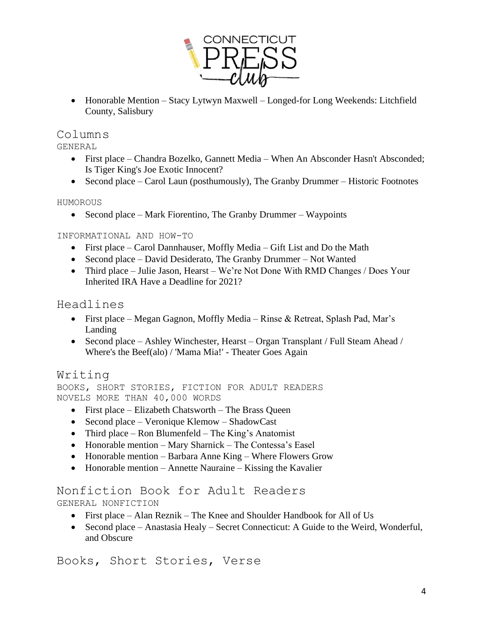

• Honorable Mention – Stacy Lytwyn Maxwell – Longed-for Long Weekends: Litchfield County, Salisbury

## Columns

GENERAL

- First place Chandra Bozelko, Gannett Media When An Absconder Hasn't Absconded; Is Tiger King's Joe Exotic Innocent?
- Second place Carol Laun (posthumously), The Granby Drummer Historic Footnotes

#### HUMOROUS

• Second place – Mark Fiorentino, The Granby Drummer – Waypoints

#### INFORMATIONAL AND HOW-TO

- First place Carol Dannhauser, Moffly Media Gift List and Do the Math
- Second place David Desiderato, The Granby Drummer Not Wanted
- Third place Julie Jason, Hearst We're Not Done With RMD Changes / Does Your Inherited IRA Have a Deadline for 2021?

## Headlines

- First place Megan Gagnon, Moffly Media Rinse & Retreat, Splash Pad, Mar's Landing
- Second place Ashley Winchester, Hearst Organ Transplant / Full Steam Ahead / Where's the Beef(alo) / 'Mama Mia!' - Theater Goes Again

## Writing

```
BOOKS, SHORT STORIES, FICTION FOR ADULT READERS
NOVELS MORE THAN 40,000 WORDS
```
- First place Elizabeth Chatsworth The Brass Queen
- Second place Veronique Klemow ShadowCast
- Third place Ron Blumenfeld The King's Anatomist
- Honorable mention Mary Sharnick The Contessa's Easel
- Honorable mention Barbara Anne King Where Flowers Grow
- Honorable mention Annette Nauraine Kissing the Kavalier

## Nonfiction Book for Adult Readers GENERAL NONFICTION

- First place Alan Reznik The Knee and Shoulder Handbook for All of Us
- Second place Anastasia Healy Secret Connecticut: A Guide to the Weird, Wonderful, and Obscure

Books, Short Stories, Verse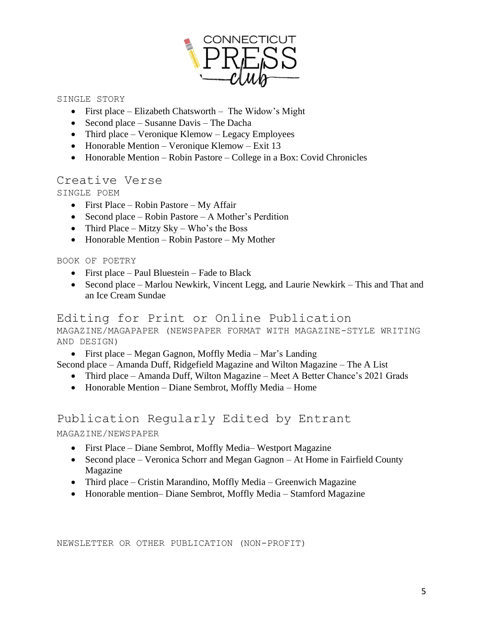

#### SINGLE STORY

- First place Elizabeth Chatsworth The Widow's Might
- Second place Susanne Davis The Dacha
- Third place Veronique Klemow Legacy Employees
- Honorable Mention Veronique Klemow Exit 13
- Honorable Mention Robin Pastore College in a Box: Covid Chronicles

## Creative Verse

SINGLE POEM

- First Place Robin Pastore My Affair
- Second place Robin Pastore A Mother's Perdition
- Third Place Mitzy  $Sky Who's$  the Boss
- Honorable Mention Robin Pastore My Mother

#### BOOK OF POETRY

- First place Paul Bluestein Fade to Black
- Second place Marlou Newkirk, Vincent Legg, and Laurie Newkirk This and That and an Ice Cream Sundae

## Editing for Print or Online Publication

MAGAZINE/MAGAPAPER (NEWSPAPER FORMAT WITH MAGAZINE-STYLE WRITING AND DESIGN)

• First place – Megan Gagnon, Moffly Media – Mar's Landing

Second place – Amanda Duff, Ridgefield Magazine and Wilton Magazine – The A List

- Third place Amanda Duff, Wilton Magazine Meet A Better Chance's 2021 Grads
- Honorable Mention Diane Sembrot, Moffly Media Home

## Publication Regularly Edited by Entrant MAGAZINE/NEWSPAPER

- First Place Diane Sembrot, Moffly Media– Westport Magazine
- Second place Veronica Schorr and Megan Gagnon At Home in Fairfield County Magazine
- Third place Cristin Marandino, Moffly Media Greenwich Magazine
- Honorable mention– Diane Sembrot, Moffly Media Stamford Magazine

NEWSLETTER OR OTHER PUBLICATION (NON-PROFIT)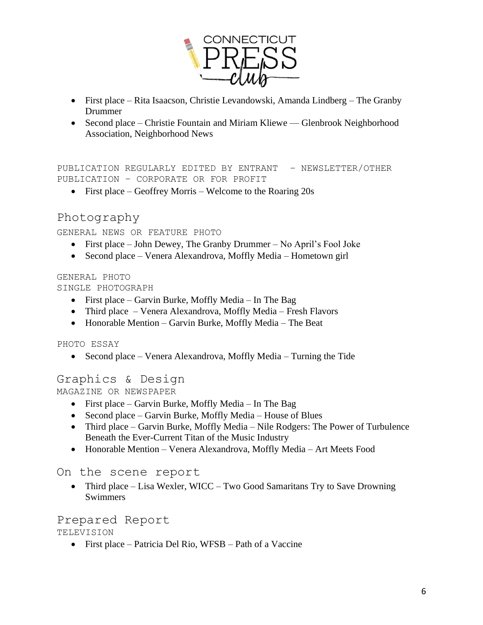

- First place Rita Isaacson, Christie Levandowski, Amanda Lindberg The Granby Drummer
- Second place Christie Fountain and Miriam Kliewe Glenbrook Neighborhood Association, Neighborhood News

PUBLICATION REGULARLY EDITED BY ENTRANT – NEWSLETTER/OTHER PUBLICATION – CORPORATE OR FOR PROFIT

• First place – Geoffrey Morris – Welcome to the Roaring 20s

## Photography

GENERAL NEWS OR FEATURE PHOTO

- First place John Dewey, The Granby Drummer No April's Fool Joke
- Second place Venera Alexandrova, Moffly Media Hometown girl

#### GENERAL PHOTO

SINGLE PHOTOGRAPH

- First place Garvin Burke, Moffly Media In The Bag
- Third place Venera Alexandrova, Moffly Media Fresh Flavors
- Honorable Mention Garvin Burke, Moffly Media The Beat

#### PHOTO ESSAY

• Second place – Venera Alexandrova, Moffly Media – Turning the Tide

## Graphics & Design

MAGAZINE OR NEWSPAPER

- First place Garvin Burke, Moffly Media In The Bag
- Second place Garvin Burke, Moffly Media House of Blues
- Third place Garvin Burke, Moffly Media Nile Rodgers: The Power of Turbulence Beneath the Ever-Current Titan of the Music Industry
- Honorable Mention Venera Alexandrova, Moffly Media Art Meets Food

## On the scene report

• Third place – Lisa Wexler, WICC – Two Good Samaritans Try to Save Drowning **Swimmers** 

## Prepared Report

TELEVISION

• First place – Patricia Del Rio, WFSB – Path of a Vaccine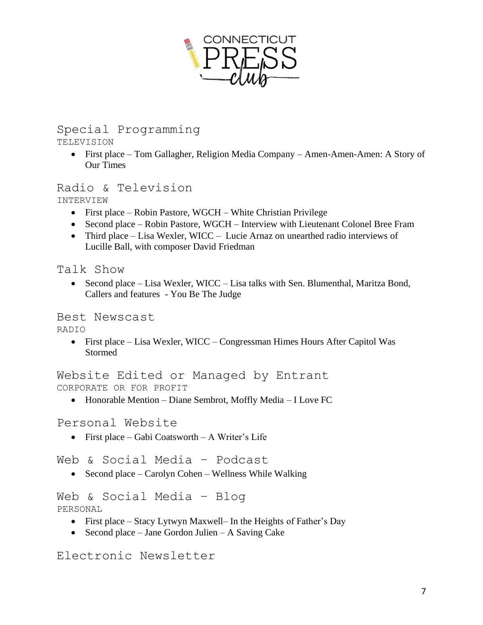

# Special Programming

TELEVISION

• First place – Tom Gallagher, Religion Media Company – Amen-Amen-Amen: A Story of Our Times

# Radio & Television

INTERVIEW

- First place Robin Pastore, WGCH White Christian Privilege
- Second place Robin Pastore, WGCH Interview with Lieutenant Colonel Bree Fram
- Third place Lisa Wexler, WICC Lucie Arnaz on unearthed radio interviews of Lucille Ball, with composer David Friedman

Talk Show

• Second place – Lisa Wexler, WICC – Lisa talks with Sen. Blumenthal, Maritza Bond, Callers and features - You Be The Judge

Best Newscast

RADIO

• First place – Lisa Wexler, WICC – Congressman Himes Hours After Capitol Was Stormed

Website Edited or Managed by Entrant CORPORATE OR FOR PROFIT

• Honorable Mention – Diane Sembrot, Moffly Media – I Love FC

Personal Website

• First place – Gabi Coatsworth – A Writer's Life

Web & Social Media – Podcast

• Second place – Carolyn Cohen – Wellness While Walking

Web & Social Media – Blog PERSONAL

- First place Stacy Lytwyn Maxwell– In the Heights of Father's Day
- Second place Jane Gordon Julien A Saving Cake

Electronic Newsletter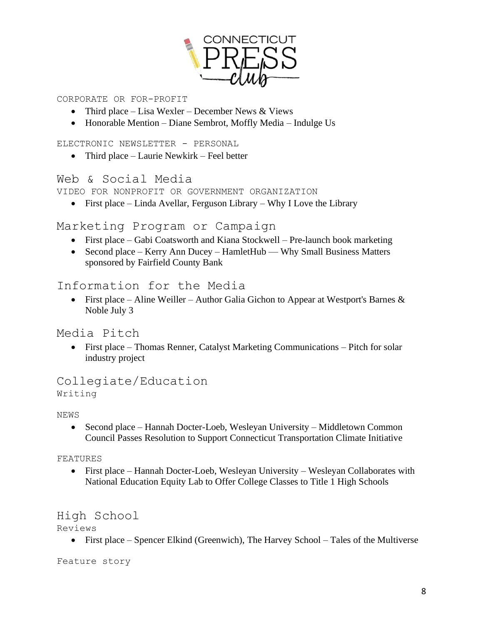

#### CORPORATE OR FOR-PROFIT

- Third place Lisa Wexler December News & Views
- Honorable Mention Diane Sembrot, Moffly Media Indulge Us

ELECTRONIC NEWSLETTER - PERSONAL

• Third place – Laurie Newkirk – Feel better

## Web & Social Media

VIDEO FOR NONPROFIT OR GOVERNMENT ORGANIZATION

• First place – Linda Avellar, Ferguson Library – Why I Love the Library

## Marketing Program or Campaign

- First place Gabi Coatsworth and Kiana Stockwell Pre-launch book marketing
- Second place Kerry Ann Ducey HamletHub Why Small Business Matters sponsored by Fairfield County Bank

## Information for the Media

• First place – Aline Weiller – Author Galia Gichon to Appear at Westport's Barnes  $\&$ Noble July 3

## Media Pitch

• First place – Thomas Renner, Catalyst Marketing Communications – Pitch for solar industry project

# Collegiate/Education

Writing

NEWS

• Second place – Hannah Docter-Loeb, Wesleyan University – Middletown Common Council Passes Resolution to Support Connecticut Transportation Climate Initiative

#### FEATURES

• First place – Hannah Docter-Loeb, Wesleyan University – Wesleyan Collaborates with National Education Equity Lab to Offer College Classes to Title 1 High Schools

## High School

Reviews

• First place – Spencer Elkind (Greenwich), The Harvey School – Tales of the Multiverse

Feature story